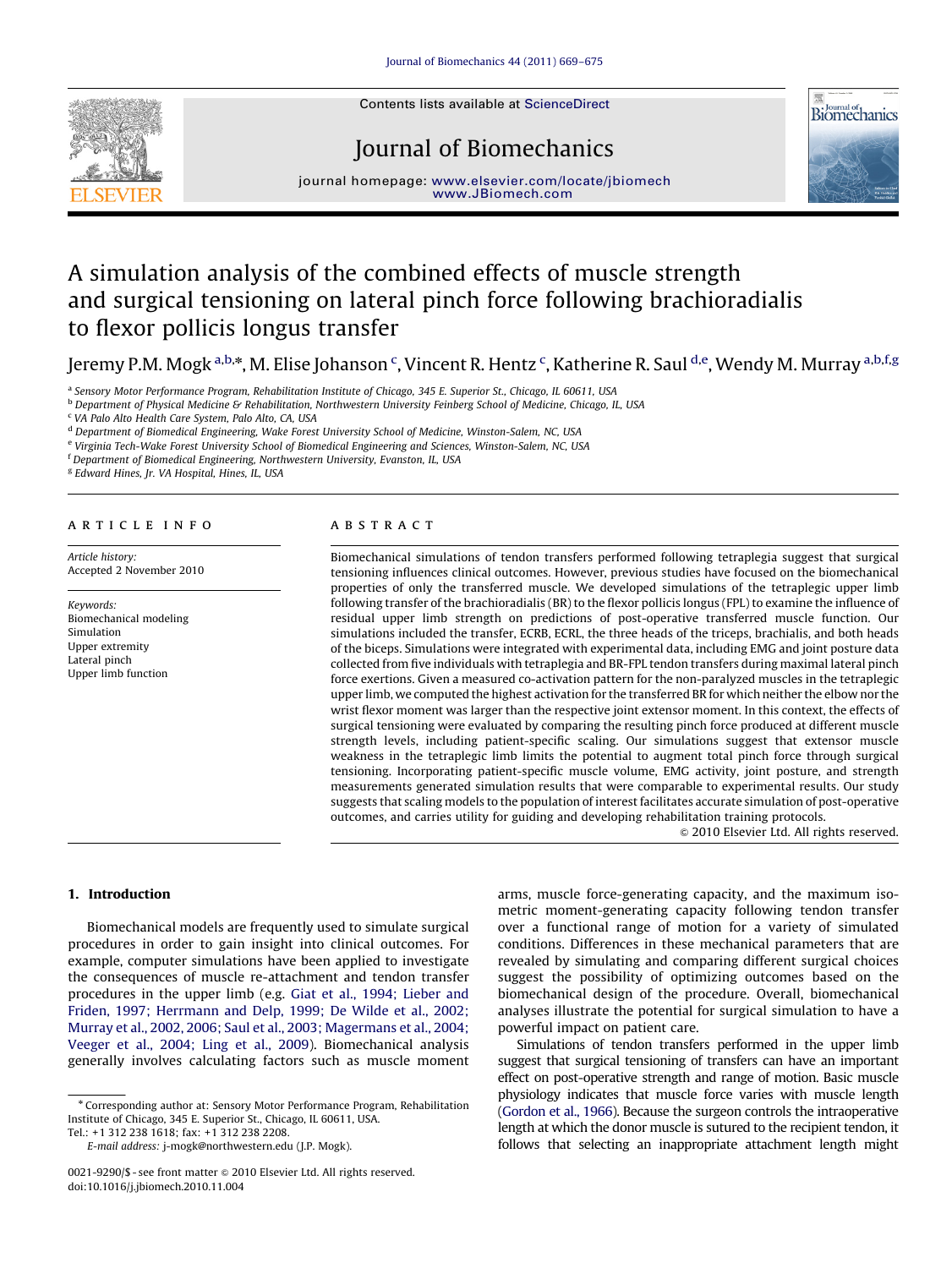

Contents lists available at ScienceDirect

## Journal of Biomechanics



journal home[page:](http://www.JBiomech.com) <www.elsevier.com/locate/jbiomech> [www.JBiomech.com](http://www.JBiomech.com)

# A simulation analysis of the combined effects of muscle strength and surgical tensioning on lateral pinch force following brachioradialis to flexor pollicis longus transfer

Jeremy P.M. Mogk <sup>a,b,</sup>\*, M. Elise Johanson <sup>c</sup>, Vincent R. Hentz <sup>c</sup>, Katherine R. Saul <sup>d,e</sup>, Wendy M. Murray <sup>a,b,f,g</sup>

<sup>a</sup> Sensory Motor Performance Program, Rehabilitation Institute of Chicago, 345 E. Superior St., Chicago, IL 60611, USA

<sup>b</sup> Department of Physical Medicine & Rehabilitation, Northwestern University Feinberg School of Medicine, Chicago, IL, USA

<sup>c</sup> VA Palo Alto Health Care System, Palo Alto, CA, USA

<sup>d</sup> Department of Biomedical Engineering, Wake Forest University School of Medicine, Winston-Salem, NC, USA

<sup>e</sup> Virginia Tech-Wake Forest University School of Biomedical Engineering and Sciences, Winston-Salem, NC, USA

<sup>f</sup> Department of Biomedical Engineering, Northwestern University, Evanston, IL, USA

<sup>g</sup> Edward Hines, Jr. VA Hospital, Hines, IL, USA

## article info

Article history: Accepted 2 November 2010

Keywords: Biomechanical modeling Simulation Upper extremity Lateral pinch Upper limb function

## ABSTRACT

Biomechanical simulations of tendon transfers performed following tetraplegia suggest that surgical tensioning influences clinical outcomes. However, previous studies have focused on the biomechanical properties of only the transferred muscle. We developed simulations of the tetraplegic upper limb following transfer of the brachioradialis (BR) to the flexor pollicis longus (FPL) to examine the influence of residual upper limb strength on predictions of post-operative transferred muscle function. Our simulations included the transfer, ECRB, ECRL, the three heads of the triceps, brachialis, and both heads of the biceps. Simulations were integrated with experimental data, including EMG and joint posture data collected from five individuals with tetraplegia and BR-FPL tendon transfers during maximal lateral pinch force exertions. Given a measured co-activation pattern for the non-paralyzed muscles in the tetraplegic upper limb, we computed the highest activation for the transferred BR for which neither the elbow nor the wrist flexor moment was larger than the respective joint extensor moment. In this context, the effects of surgical tensioning were evaluated by comparing the resulting pinch force produced at different muscle strength levels, including patient-specific scaling. Our simulations suggest that extensor muscle weakness in the tetraplegic limb limits the potential to augment total pinch force through surgical tensioning. Incorporating patient-specific muscle volume, EMG activity, joint posture, and strength measurements generated simulation results that were comparable to experimental results. Our study suggests that scaling models to the population of interest facilitates accurate simulation of post-operative outcomes, and carries utility for guiding and developing rehabilitation training protocols.

 $\odot$  2010 Elsevier Ltd. All rights reserved.

## 1. Introduction

Biomechanical models are frequently used to simulate surgical procedures in order to gain insight into clinical outcomes. For example, computer simulations have been applied to investigate the consequences of muscle re-attachment and tendon transfer procedures in the upper limb (e.g. [Giat et al., 1994; Lieber and](#page-6-0) [Friden, 1997; Herrmann and Delp, 1999; De Wilde et al., 2002;](#page-6-0) [Murray et al., 2002, 2006; Saul et al., 2003; Magermans et al., 2004;](#page-6-0) [Veeger et al., 2004; Ling et al., 2009](#page-6-0)). Biomechanical analysis generally involves calculating factors such as muscle moment arms, muscle force-generating capacity, and the maximum isometric moment-generating capacity following tendon transfer over a functional range of motion for a variety of simulated conditions. Differences in these mechanical parameters that are revealed by simulating and comparing different surgical choices suggest the possibility of optimizing outcomes based on the biomechanical design of the procedure. Overall, biomechanical analyses illustrate the potential for surgical simulation to have a powerful impact on patient care.

Simulations of tendon transfers performed in the upper limb suggest that surgical tensioning of transfers can have an important effect on post-operative strength and range of motion. Basic muscle physiology indicates that muscle force varies with muscle length [\(Gordon et al., 1966](#page-6-0)). Because the surgeon controls the intraoperative length at which the donor muscle is sutured to the recipient tendon, it follows that selecting an inappropriate attachment length might

<sup>n</sup> Corresponding author at: Sensory Motor Performance Program, Rehabilitation Institute of Chicago, 345 E. Superior St., Chicago, IL 60611, USA.

Tel.: +1 312 238 1618; fax: +1 312 238 2208.

E-mail address: [j-mogk@northwestern.edu \(J.P. Mogk\).](mailto:j-mogk@northwestern.edu)

<sup>0021-9290/\$ -</sup> see front matter  $\circ$  2010 Elsevier Ltd. All rights reserved. doi:[10.1016/j.jbiomech.2010.11.004](dx.doi.org/10.1016/j.jbiomech.2010.11.004)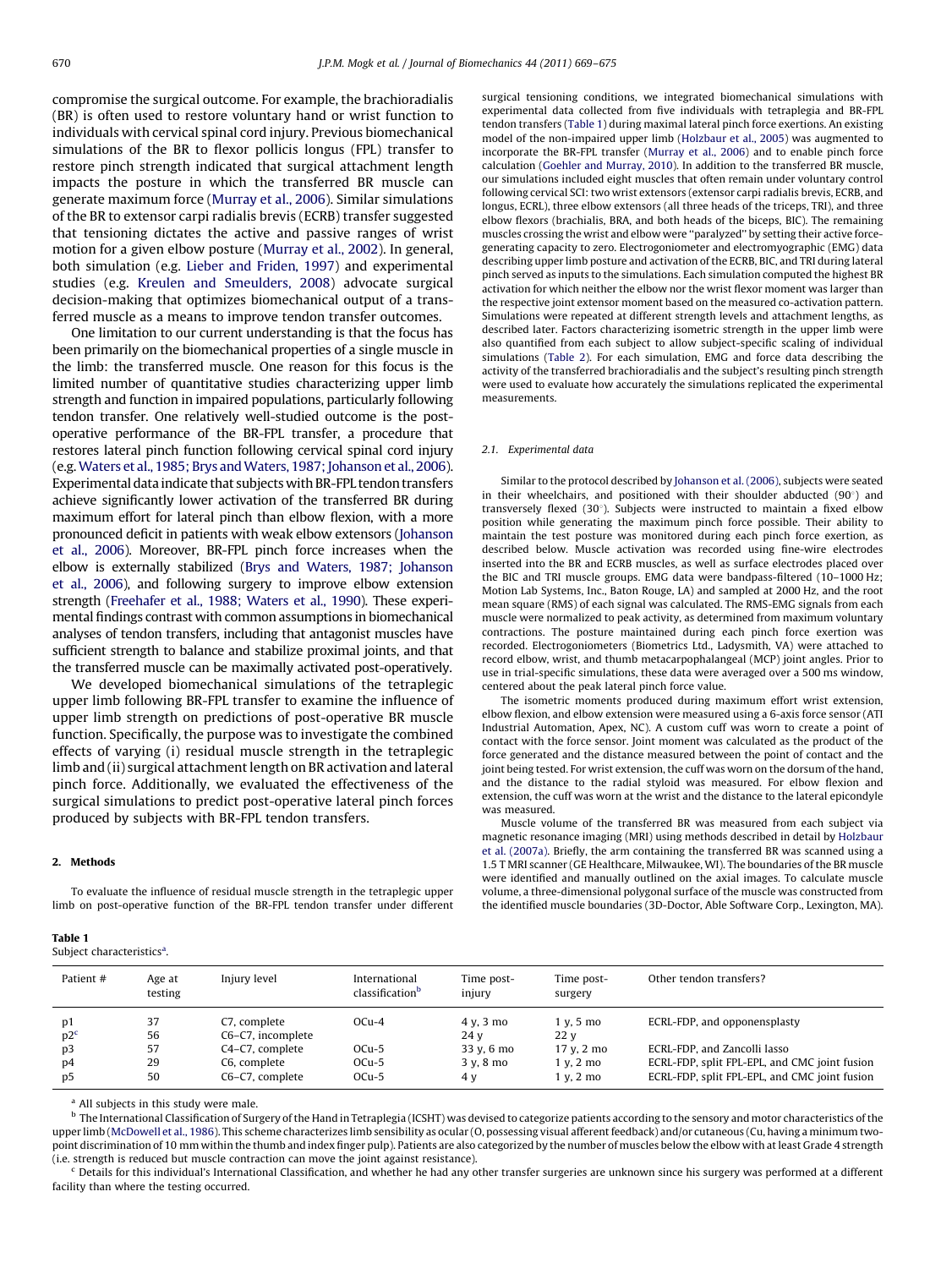compromise the surgical outcome. For example, the brachioradialis (BR) is often used to restore voluntary hand or wrist function to individuals with cervical spinal cord injury. Previous biomechanical simulations of the BR to flexor pollicis longus (FPL) transfer to restore pinch strength indicated that surgical attachment length impacts the posture in which the transferred BR muscle can generate maximum force ([Murray et al., 2006\)](#page-6-0). Similar simulations of the BR to extensor carpi radialis brevis (ECRB) transfer suggested that tensioning dictates the active and passive ranges of wrist motion for a given elbow posture ([Murray et al., 2002\)](#page-6-0). In general, both simulation (e.g. [Lieber and Friden, 1997](#page-6-0)) and experimental studies (e.g. [Kreulen and Smeulders, 2008\)](#page-6-0) advocate surgical decision-making that optimizes biomechanical output of a transferred muscle as a means to improve tendon transfer outcomes.

One limitation to our current understanding is that the focus has been primarily on the biomechanical properties of a single muscle in the limb: the transferred muscle. One reason for this focus is the limited number of quantitative studies characterizing upper limb strength and function in impaired populations, particularly following tendon transfer. One relatively well-studied outcome is the postoperative performance of the BR-FPL transfer, a procedure that restores lateral pinch function following cervical spinal cord injury (e.g.[Waters et al., 1985; Brys andWaters, 1987; Johanson et al., 2006\)](#page-6-0). Experimental data indicate that subjectswith BR-FPL tendon transfers achieve significantly lower activation of the transferred BR during maximum effort for lateral pinch than elbow flexion, with a more pronounced deficit in patients with weak elbow extensors [\(Johanson](#page-6-0) [et al., 2006\)](#page-6-0). Moreover, BR-FPL pinch force increases when the elbow is externally stabilized [\(Brys and Waters, 1987; Johanson](#page-5-0) [et al., 2006\)](#page-5-0), and following surgery to improve elbow extension strength [\(Freehafer et al., 1988; Waters et al., 1990\)](#page-6-0). These experimental findings contrast with common assumptions in biomechanical analyses of tendon transfers, including that antagonist muscles have sufficient strength to balance and stabilize proximal joints, and that the transferred muscle can be maximally activated post-operatively.

We developed biomechanical simulations of the tetraplegic upper limb following BR-FPL transfer to examine the influence of upper limb strength on predictions of post-operative BR muscle function. Specifically, the purpose was to investigate the combined effects of varying (i) residual muscle strength in the tetraplegic limb and (ii) surgical attachment length on BR activation and lateral pinch force. Additionally, we evaluated the effectiveness of the surgical simulations to predict post-operative lateral pinch forces produced by subjects with BR-FPL tendon transfers.

### 2. Methods

To evaluate the influence of residual muscle strength in the tetraplegic upper limb on post-operative function of the BR-FPL tendon transfer under different

#### Table 1

Subject characteristics<sup>a</sup>.

surgical tensioning conditions, we integrated biomechanical simulations with experimental data collected from five individuals with tetraplegia and BR-FPL tendon transfers (Table 1) during maximal lateral pinch force exertions. An existing model of the non-impaired upper limb ([Holzbaur et al., 2005\)](#page-6-0) was augmented to incorporate the BR-FPL transfer ([Murray et al., 2006](#page-6-0)) and to enable pinch force calculation ([Goehler and Murray, 2010](#page-6-0)). In addition to the transferred BR muscle, our simulations included eight muscles that often remain under voluntary control following cervical SCI: two wrist extensors (extensor carpi radialis brevis, ECRB, and longus, ECRL), three elbow extensors (all three heads of the triceps, TRI), and three elbow flexors (brachialis, BRA, and both heads of the biceps, BIC). The remaining muscles crossing the wrist and elbow were ''paralyzed'' by setting their active forcegenerating capacity to zero. Electrogoniometer and electromyographic (EMG) data describing upper limb posture and activation of the ECRB, BIC, and TRI during lateral pinch served as inputs to the simulations. Each simulation computed the highest BR activation for which neither the elbow nor the wrist flexor moment was larger than the respective joint extensor moment based on the measured co-activation pattern. Simulations were repeated at different strength levels and attachment lengths, as described later. Factors characterizing isometric strength in the upper limb were also quantified from each subject to allow subject-specific scaling of individual simulations [\(Table 2\)](#page-2-0). For each simulation, EMG and force data describing the activity of the transferred brachioradialis and the subject's resulting pinch strength were used to evaluate how accurately the simulations replicated the experimental measurements.

#### 2.1. Experimental data

Similar to the protocol described by [Johanson et al. \(2006\)](#page-6-0), subjects were seated in their wheelchairs, and positioned with their shoulder abducted  $(90)$  and transversely flexed  $(30^{\circ})$ . Subjects were instructed to maintain a fixed elbow position while generating the maximum pinch force possible. Their ability to maintain the test posture was monitored during each pinch force exertion, as described below. Muscle activation was recorded using fine-wire electrodes inserted into the BR and ECRB muscles, as well as surface electrodes placed over the BIC and TRI muscle groups. EMG data were bandpass-filtered (10–1000 Hz; Motion Lab Systems, Inc., Baton Rouge, LA) and sampled at 2000 Hz, and the root mean square (RMS) of each signal was calculated. The RMS-EMG signals from each muscle were normalized to peak activity, as determined from maximum voluntary contractions. The posture maintained during each pinch force exertion was recorded. Electrogoniometers (Biometrics Ltd., Ladysmith, VA) were attached to record elbow, wrist, and thumb metacarpophalangeal (MCP) joint angles. Prior to use in trial-specific simulations, these data were averaged over a 500 ms window, centered about the peak lateral pinch force value.

The isometric moments produced during maximum effort wrist extension, elbow flexion, and elbow extension were measured using a 6-axis force sensor (ATI Industrial Automation, Apex, NC). A custom cuff was worn to create a point of contact with the force sensor. Joint moment was calculated as the product of the force generated and the distance measured between the point of contact and the joint being tested. For wrist extension, the cuff was worn on the dorsum of the hand, and the distance to the radial styloid was measured. For elbow flexion and extension, the cuff was worn at the wrist and the distance to the lateral epicondyle was measured.

Muscle volume of the transferred BR was measured from each subject via magnetic resonance imaging (MRI) using methods described in detail by [Holzbaur](#page-6-0) [et al. \(2007a\).](#page-6-0) Briefly, the arm containing the transferred BR was scanned using a 1.5 T MRI scanner (GE Healthcare, Milwaukee, WI). The boundaries of the BR muscle were identified and manually outlined on the axial images. To calculate muscle volume, a three-dimensional polygonal surface of the muscle was constructed from the identified muscle boundaries (3D-Doctor, Able Software Corp., Lexington, MA).

| Patient #             | Age at<br>testing | Injury level                      | International<br>classification <sup>b</sup> | Time post-<br>injury | Time post-<br>surgery  | Other tendon transfers?                                                                        |
|-----------------------|-------------------|-----------------------------------|----------------------------------------------|----------------------|------------------------|------------------------------------------------------------------------------------------------|
| p1<br>p2 <sup>c</sup> | 37<br>56          | C7, complete<br>C6-C7, incomplete | $OC11-4$                                     | 4v, 3mo<br>24 v      | l v. 5 mo<br>22v       | ECRL-FDP, and opponensplasty                                                                   |
| p3                    | 57                | C4-C7, complete                   | $OCu-5$                                      | 33 v, 6 mo           | 17 y, 2 mo             | ECRL-FDP, and Zancolli lasso                                                                   |
| p4<br>p5              | 29<br>50          | C6, complete<br>C6-C7, complete   | $OCu-5$<br>OCu-5                             | 3v, 8mo<br>4 v       | l y, 2 mo<br>l y, 2 mo | ECRL-FDP, split FPL-EPL, and CMC joint fusion<br>ECRL-FDP, split FPL-EPL, and CMC joint fusion |

<sup>a</sup> All subjects in this study were male.

**b** The International Classification of Surgery of the Hand in Tetraplegia (ICSHT) was devised to categorize patients according to the sensory and motor characteristics of the upper limb ([McDowell et al., 1986](#page-6-0)). This scheme characterizes limb sensibility as ocular (O, possessing visual afferent feedback) and/or cutaneous (Cu, having a minimum twopoint discrimination of 10 mm within the thumb and index finger pulp). Patients are also categorized by the number of muscles below the elbow with at least Grade 4 strength (i.e. strength is reduced but muscle contraction can move the joint against resistance).

<sup>c</sup> Details for this individual's International Classification, and whether he had any other transfer surgeries are unknown since his surgery was performed at a different facility than where the testing occurred.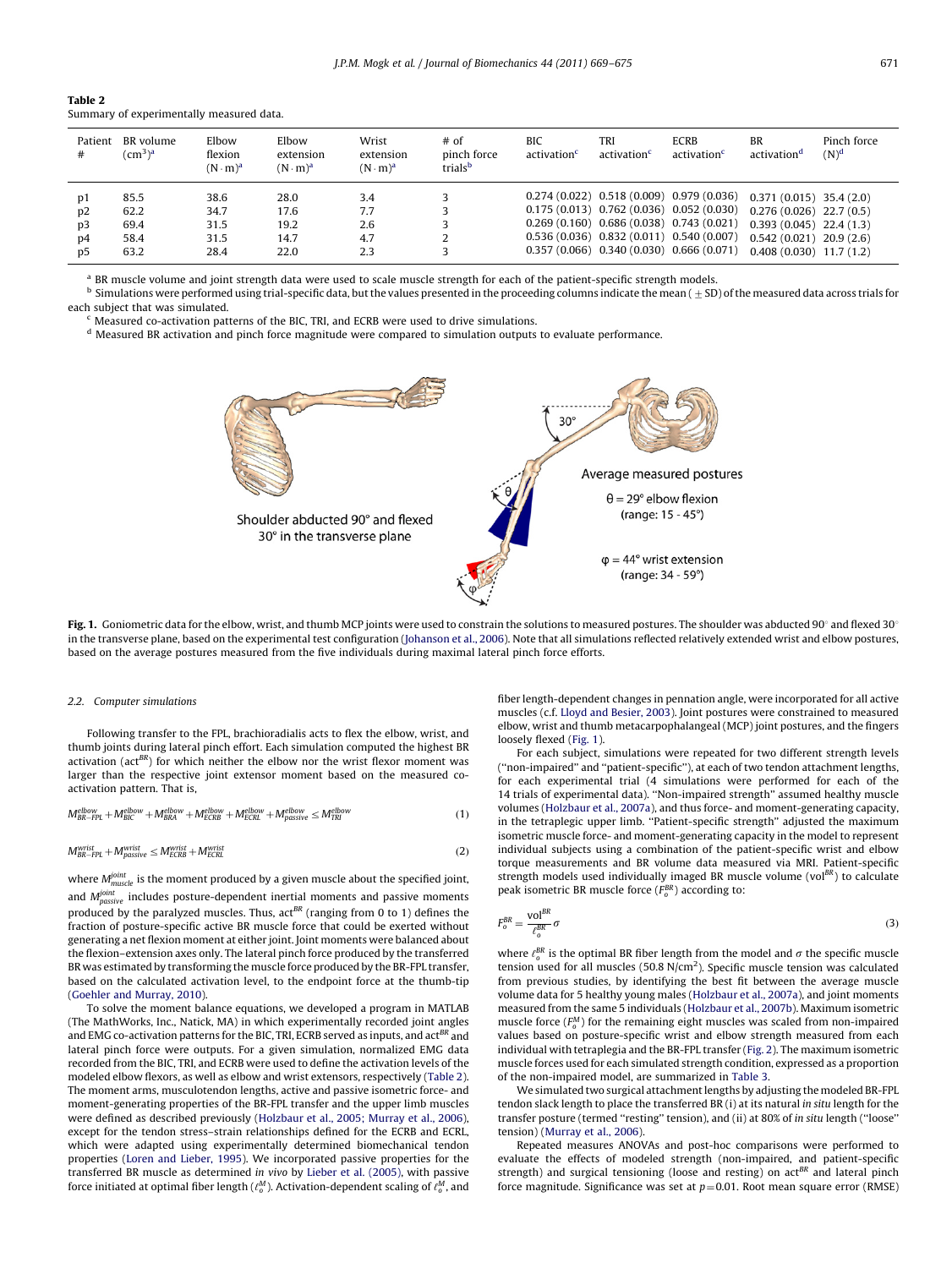<span id="page-2-0"></span>

| Table 2 |                                          |  |
|---------|------------------------------------------|--|
|         | Summary of experimentally measured data. |  |

| Patient<br>#                                       | BR volume<br>$\rm (cm^3)^a$          | Elbow<br>flexion<br>$(N \cdot m)^a$  | Elbow<br>extension<br>$(N \cdot m)^a$ | Wrist<br>extension<br>$(N \cdot m)^a$ | $#$ of<br>pinch force<br>trials <sup>b</sup> | BIC<br>activation <sup>c</sup> | TRI<br>activation <sup>c</sup>                                                               | <b>ECRB</b><br>activation <sup>c</sup>                                                                                                       | <b>BR</b><br>activation <sup>d</sup>                                                                                                            | Pinch force<br>$(N)^d$ |
|----------------------------------------------------|--------------------------------------|--------------------------------------|---------------------------------------|---------------------------------------|----------------------------------------------|--------------------------------|----------------------------------------------------------------------------------------------|----------------------------------------------------------------------------------------------------------------------------------------------|-------------------------------------------------------------------------------------------------------------------------------------------------|------------------------|
| p1<br>p2<br>p <sub>3</sub><br>p4<br>p <sub>5</sub> | 85.5<br>62.2<br>69.4<br>58.4<br>63.2 | 38.6<br>34.7<br>31.5<br>31.5<br>28.4 | 28.0<br>17.6<br>19.2<br>14.7<br>22.0  | 3.4<br>7.7<br>2.6<br>4.7<br>2.3       |                                              |                                | $0.536(0.036)$ $0.832(0.011)$ $0.540(0.007)$<br>$0.357(0.066)$ $0.340(0.030)$ $0.666(0.071)$ | $0.274(0.022)$ $0.518(0.009)$ $0.979(0.036)$<br>$0.175(0.013)$ $0.762(0.036)$ $0.052(0.030)$<br>$0.269(0.160)$ $0.686(0.038)$ $0.743(0.021)$ | $0.371(0.015)$ 35.4 (2.0)<br>$0.276(0.026)$ 22.7 $(0.5)$<br>$0.393(0.045)$ 22.4 (1.3)<br>$0.542(0.021)$ 20.9 (2.6)<br>$0.408(0.030)$ 11.7 (1.2) |                        |

<sup>a</sup> BR muscle volume and joint strength data were used to scale muscle strength for each of the patient-specific strength models.

 $^{\rm b}$  Simulations were performed using trial-specific data, but the values presented in the proceeding columns indicate the mean ( $\pm$  SD) of the measured data across trials for each subject that was simulated.

 $\epsilon$  Measured co-activation patterns of the BIC, TRI, and ECRB were used to drive simulations.

<sup>d</sup> Measured BR activation and pinch force magnitude were compared to simulation outputs to evaluate performance.



Fig. 1. Goniometric data for the elbow, wrist, and thumb MCP joints were used to constrain the solutions to measured postures. The shoulder was abducted 90° and flexed 30° in the transverse plane, based on the experimental test configuration [\(Johanson et al., 2006](#page-6-0)). Note that all simulations reflected relatively extended wrist and elbow postures, based on the average postures measured from the five individuals during maximal lateral pinch force efforts.

#### 2.2. Computer simulations

Following transfer to the FPL, brachioradialis acts to flex the elbow, wrist, and thumb joints during lateral pinch effort. Each simulation computed the highest BR activation ( $act^{BR}$ ) for which neither the elbow nor the wrist flexor moment was larger than the respective joint extensor moment based on the measured coactivation pattern. That is,

$$
M_{BR-FPL}^{elbow} + M_{BIC}^{elbow} + M_{BRA}^{elbow} + M_{ECRB}^{elbow} + M_{ECRL}^{elbow} + M_{passive}^{elbow} \le M_{TRI}^{elbow}
$$
 (1)

$$
M_{BR-FPL}^{wrist} + M_{passive}^{wrist} \le M_{ECRB}^{wrist} + M_{ECRL}^{wrist} \tag{2}
$$

where  $M_{muscle}^{joint}$  is the moment produced by a given muscle about the specified joint, and  $M_{passive}^{joint}$  includes posture-dependent inertial moments and passive moments produced by the paralyzed muscles. Thus,  $act^{BR}$  (ranging from 0 to 1) defines the fraction of posture-specific active BR muscle force that could be exerted without generating a net flexion moment at either joint. Joint moments were balanced about the flexion–extension axes only. The lateral pinch force produced by the transferred BR was estimated by transforming the muscle force produced by the BR-FPL transfer, based on the calculated activation level, to the endpoint force at the thumb-tip [\(Goehler and Murray, 2010](#page-6-0)).

To solve the moment balance equations, we developed a program in MATLAB (The MathWorks, Inc., Natick, MA) in which experimentally recorded joint angles and EMG co-activation patterns for the BIC, TRI, ECRB served as inputs, and  $act^{BR}$  and lateral pinch force were outputs. For a given simulation, normalized EMG data recorded from the BIC, TRI, and ECRB were used to define the activation levels of the modeled elbow flexors, as well as elbow and wrist extensors, respectively (Table 2). The moment arms, musculotendon lengths, active and passive isometric force- and moment-generating properties of the BR-FPL transfer and the upper limb muscles were defined as described previously ([Holzbaur et al., 2005; Murray et al., 2006\)](#page-6-0), except for the tendon stress–strain relationships defined for the ECRB and ECRL, which were adapted using experimentally determined biomechanical tendon properties [\(Loren and Lieber, 1995](#page-6-0)). We incorporated passive properties for the transferred BR muscle as determined in vivo by [Lieber et al. \(2005\),](#page-6-0) with passive force initiated at optimal fiber length ( $\ell_o^{\mathsf{M}}$ ). Activation-dependent scaling of  $\ell_o^{\mathsf{M}}$ , and

fiber length-dependent changes in pennation angle, were incorporated for all active muscles (c.f. [Lloyd and Besier, 2003\)](#page-6-0). Joint postures were constrained to measured elbow, wrist and thumb metacarpophalangeal (MCP) joint postures, and the fingers loosely flexed (Fig. 1).

For each subject, simulations were repeated for two different strength levels (''non-impaired'' and ''patient-specific''), at each of two tendon attachment lengths, for each experimental trial (4 simulations were performed for each of the 14 trials of experimental data). ''Non-impaired strength'' assumed healthy muscle volumes [\(Holzbaur et al., 2007a](#page-6-0)), and thus force- and moment-generating capacity, in the tetraplegic upper limb. ''Patient-specific strength'' adjusted the maximum isometric muscle force- and moment-generating capacity in the model to represent individual subjects using a combination of the patient-specific wrist and elbow torque measurements and BR volume data measured via MRI. Patient-specific strength models used individually imaged BR muscle volume  $(vol^{BR})$  to calculate peak isometric BR muscle force  $(F_0^{BR})$  according to:

$$
F_o^{BR} = \frac{\text{vol}^{BR}}{\ell_o^{BR}} \sigma \tag{3}
$$

where  $\ell_o^{BR}$  is the optimal BR fiber length from the model and  $\sigma$  the specific muscle tension used for all muscles (50.8  $N/cm<sup>2</sup>$ ). Specific muscle tension was calculated from previous studies, by identifying the best fit between the average muscle volume data for 5 healthy young males ([Holzbaur et al., 2007a](#page-6-0)), and joint moments measured from the same 5 individuals [\(Holzbaur et al., 2007b\)](#page-6-0). Maximum isometric muscle force  $(F_o^M)$  for the remaining eight muscles was scaled from non-impaired values based on posture-specific wrist and elbow strength measured from each individual with tetraplegia and the BR-FPL transfer ([Fig. 2](#page-3-0)). The maximum isometric muscle forces used for each simulated strength condition, expressed as a proportion of the non-impaired model, are summarized in [Table 3.](#page-3-0)

We simulated two surgical attachment lengths by adjusting the modeled BR-FPL tendon slack length to place the transferred  $BR(i)$  at its natural in situ length for the transfer posture (termed ''resting'' tension), and (ii) at 80% of in situ length (''loose'' tension) [\(Murray et al., 2006\)](#page-6-0).

Repeated measures ANOVAs and post-hoc comparisons were performed to evaluate the effects of modeled strength (non-impaired, and patient-specific strength) and surgical tensioning (loose and resting) on  $act^{BR}$  and lateral pinch force magnitude. Significance was set at  $p=0.01$ . Root mean square error (RMSE)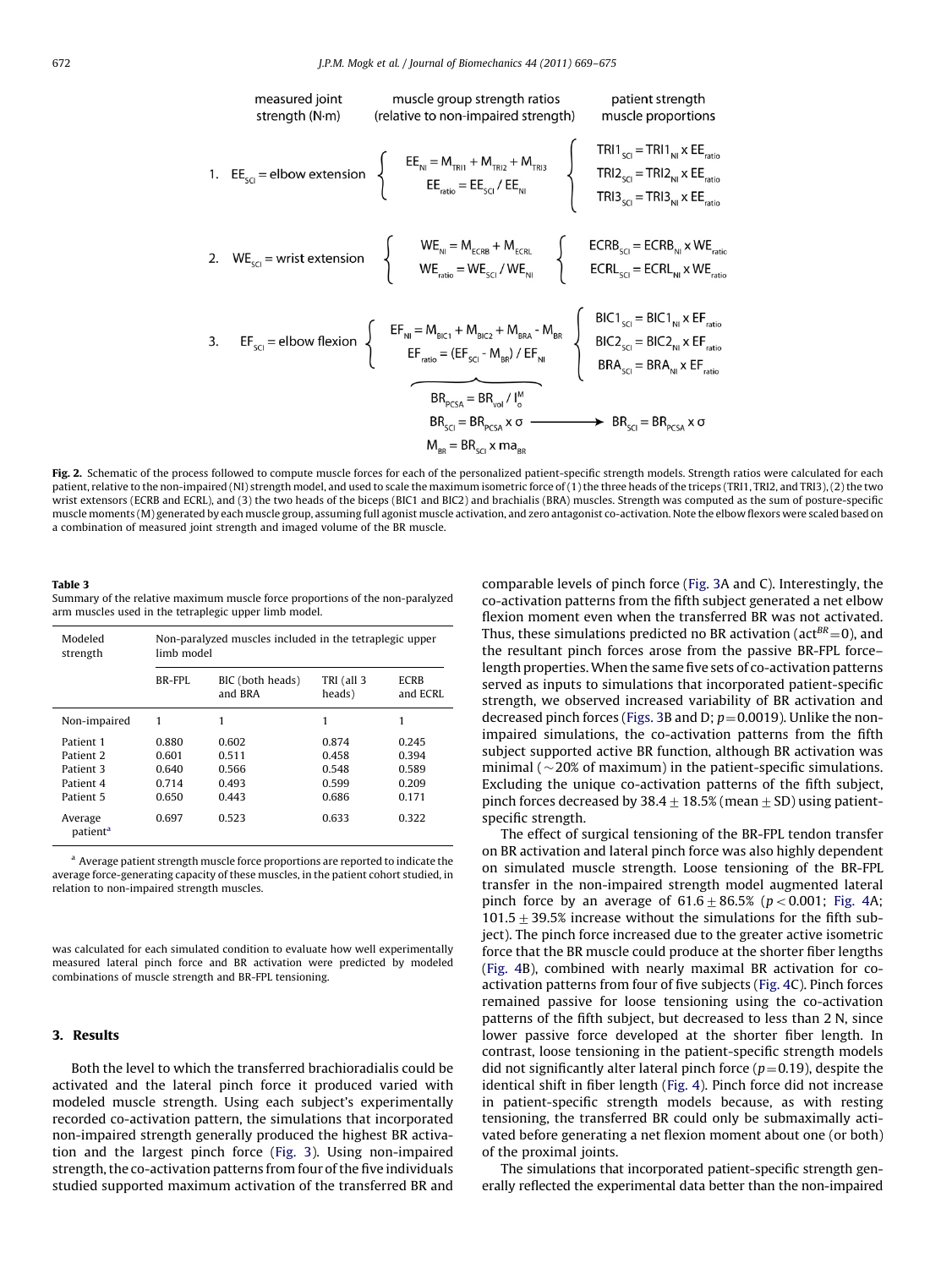<span id="page-3-0"></span>measured joint  
\nstrength (N-m) (relative to non-impaired strength) muscle proportions  
\nstrength (N-m) (relative to non-impaired strength) muscle proportions  
\n1. 
$$
EE_{\text{SCI}} = \text{elbow extension}
$$
  $\left\{\begin{array}{c}\nEE_{\text{N}} = M_{\text{TR11}} + M_{\text{TR12}} + M_{\text{TR13}} \\
EE_{\text{ratio}} = EE_{\text{SCI}} / EE_{\text{N}} \\
TE_{\text{ratio}} = EE_{\text{SCI}} / EE_{\text{N}}\n\end{array}\right\}$   $\begin{array}{c}\nTR11_{\text{SCI}} = TR11_{\text{N}} \times EE_{\text{ratio}} \\
TR12_{\text{SCI}} = TR12_{\text{N}} \times EE_{\text{ratio}} \\
TR13_{\text{SCI}} = TR12_{\text{N}} \times EE_{\text{ratio}} \\
TR13_{\text{SCI}} = TR13_{\text{N}} \times EE_{\text{ratio}} \\
TE_{\text{ratio}} = WE_{\text{NCI}} / WE_{\text{N}}\n\end{array}$   $\begin{array}{c}\nBE_{\text{ratio}} = \text{KCRB}_{\text{SCI}} - \text{ERB}_{\text{N}} \times WE_{\text{ratio}} \\
E = \text{KCRB}_{\text{SCI}} - \text{ECRB}_{\text{N}} \times WE_{\text{ratio}} \\
E = \text{KCRB}_{\text{SCI}} - \text{KBR}_{\text{N}}\n\end{array}$   $\begin{array}{c}\nBE1_{\text{SCI}} = ECR_{\text{N}} \times WE_{\text{ratio}} \\
BE2_{\text{SCI}} = ECR_{\text{N}} \times EF_{\text{ratio}} \\
BE3_{\text{SCI}} = eIBox_{\text{N}} \times EF_{\text{ratio}} \\
BE4_{\text{SCI}} = \text{BRB}_{\text{N}} \times EF_{\text{ratio}} \\
BE5_{\text{SCI}} = BR_{\text{N}} / I_{\text{N}}\n\end{array}$ 

Fig. 2. Schematic of the process followed to compute muscle forces for each of the personalized patient-specific strength models. Strength ratios were calculated for each patient, relative to the non-impaired (NI) strength model, and used to scale the maximum isometric force of (1) the three heads of the triceps (TRI1, TRI2, and TRI3), (2) the two wrist extensors (ECRB and ECRL), and (3) the two heads of the biceps (BIC1 and BIC2) and brachialis (BRA) muscles. Strength was computed as the sum of posture-specific muscle moments (M) generated by each muscle group, assuming full agonist muscle activation, and zero antagonist co-activation. Note the elbow flexors were scaled based on a combination of measured joint strength and imaged volume of the BR muscle.

Table 3

Summary of the relative maximum muscle force proportions of the non-paralyzed arm muscles used in the tetraplegic upper limb model.

| Modeled<br>strength             | Non-paralyzed muscles included in the tetraplegic upper<br>limb model |                             |                      |                         |  |  |  |
|---------------------------------|-----------------------------------------------------------------------|-----------------------------|----------------------|-------------------------|--|--|--|
|                                 | BR-FPL                                                                | BIC (both heads)<br>and BRA | TRI (all 3<br>heads) | <b>ECRB</b><br>and ECRL |  |  |  |
| Non-impaired                    | 1                                                                     | 1                           | 1                    | 1                       |  |  |  |
| Patient 1                       | 0.880                                                                 | 0.602                       | 0.874                | 0.245                   |  |  |  |
| Patient 2                       | 0.601                                                                 | 0.511                       | 0.458                | 0.394                   |  |  |  |
| Patient 3                       | 0.640                                                                 | 0.566                       | 0.548                | 0.589                   |  |  |  |
| Patient 4                       | 0.714                                                                 | 0.493                       | 0.599                | 0.209                   |  |  |  |
| Patient 5                       | 0.650                                                                 | 0.443                       | 0.686                | 0.171                   |  |  |  |
| Average<br>patient <sup>a</sup> | 0.697                                                                 | 0.523                       | 0.633                | 0.322                   |  |  |  |

<sup>a</sup> Average patient strength muscle force proportions are reported to indicate the average force-generating capacity of these muscles, in the patient cohort studied, in relation to non-impaired strength muscles.

was calculated for each simulated condition to evaluate how well experimentally measured lateral pinch force and BR activation were predicted by modeled combinations of muscle strength and BR-FPL tensioning.

## 3. Results

Both the level to which the transferred brachioradialis could be activated and the lateral pinch force it produced varied with modeled muscle strength. Using each subject's experimentally recorded co-activation pattern, the simulations that incorporated non-impaired strength generally produced the highest BR activation and the largest pinch force [\(Fig. 3](#page-4-0)). Using non-impaired strength, the co-activation patterns from four of the five individuals studied supported maximum activation of the transferred BR and

comparable levels of pinch force ([Fig. 3](#page-4-0)A and C). Interestingly, the co-activation patterns from the fifth subject generated a net elbow flexion moment even when the transferred BR was not activated. Thus, these simulations predicted no BR activation (act<sup>BR</sup> = 0), and the resultant pinch forces arose from the passive BR-FPL force– length properties.When the same five sets of co-activation patterns served as inputs to simulations that incorporated patient-specific strength, we observed increased variability of BR activation and decreased pinch forces [\(Figs. 3B](#page-4-0) and D;  $p=0.0019$ ). Unlike the nonimpaired simulations, the co-activation patterns from the fifth subject supported active BR function, although BR activation was minimal ( $\sim$ 20% of maximum) in the patient-specific simulations. Excluding the unique co-activation patterns of the fifth subject, pinch forces decreased by 38.4  $\pm$  18.5% (mean  $\pm$  SD) using patientspecific strength.

The effect of surgical tensioning of the BR-FPL tendon transfer on BR activation and lateral pinch force was also highly dependent on simulated muscle strength. Loose tensioning of the BR-FPL transfer in the non-impaired strength model augmented lateral pinch force by an average of  $61.6 \pm 86.5$ % (p < 0.001; [Fig. 4](#page-4-0)A;  $101.5\pm39.5\%$  increase without the simulations for the fifth subject). The pinch force increased due to the greater active isometric force that the BR muscle could produce at the shorter fiber lengths ([Fig. 4B](#page-4-0)), combined with nearly maximal BR activation for coactivation patterns from four of five subjects ([Fig. 4C](#page-4-0)). Pinch forces remained passive for loose tensioning using the co-activation patterns of the fifth subject, but decreased to less than 2 N, since lower passive force developed at the shorter fiber length. In contrast, loose tensioning in the patient-specific strength models did not significantly alter lateral pinch force ( $p=0.19$ ), despite the identical shift in fiber length [\(Fig. 4](#page-4-0)). Pinch force did not increase in patient-specific strength models because, as with resting tensioning, the transferred BR could only be submaximally activated before generating a net flexion moment about one (or both) of the proximal joints.

The simulations that incorporated patient-specific strength generally reflected the experimental data better than the non-impaired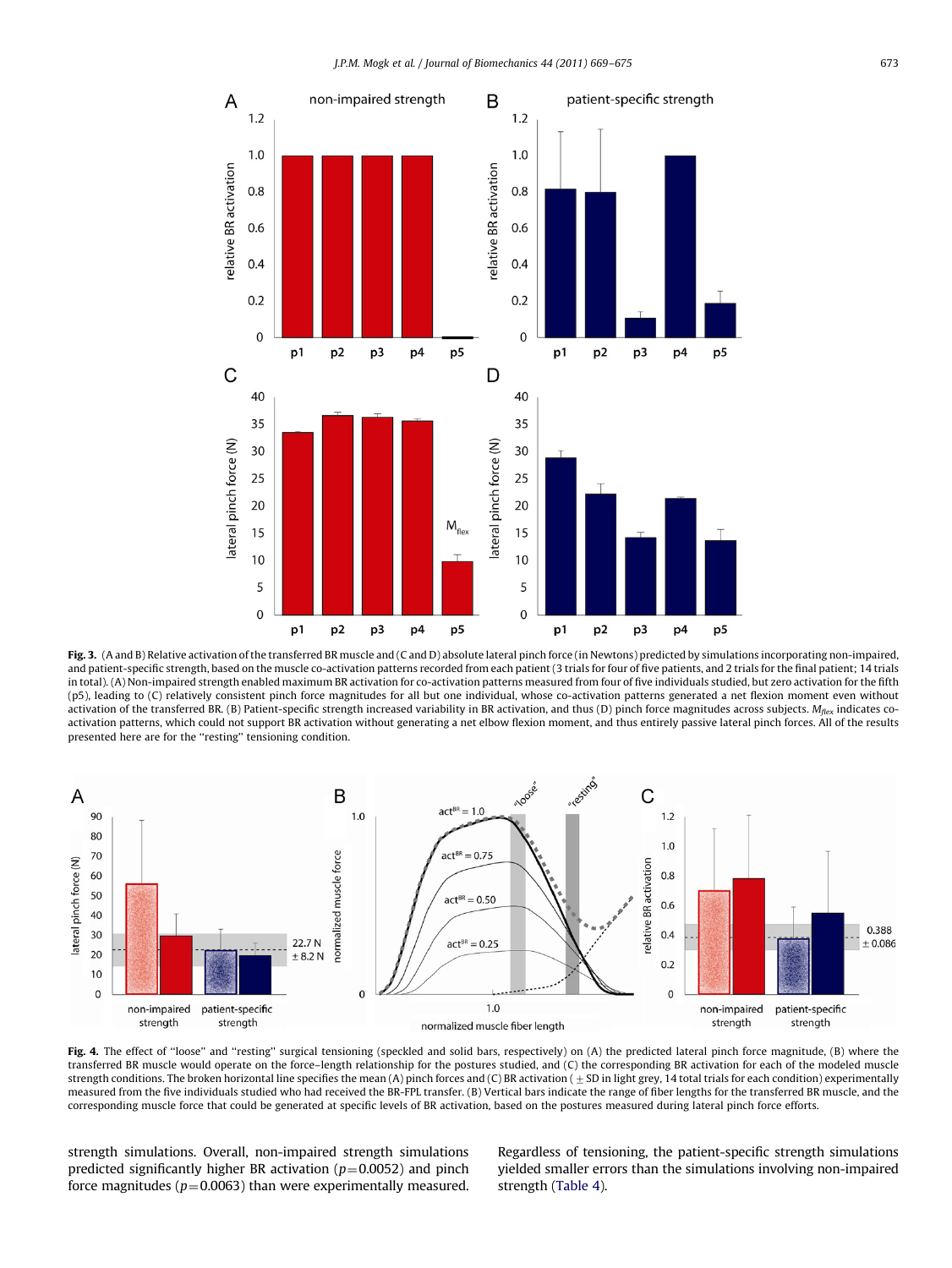<span id="page-4-0"></span>

Fig. 3. (A and B) Relative activation of the transferred BR muscle and (C and D) absolute lateral pinch force (in Newtons) predicted by simulations incorporating non-impaired, and patient-specific strength, based on the muscle co-activation patterns recorded from each patient (3 trials for four of five patients, and 2 trials for the final patient; 14 trials in total). (A) Non-impaired strength enabled maximum BR activation for co-activation patterns measured from four of five individuals studied, but zero activation for the fifth (p5), leading to (C) relatively consistent pinch force magnitudes for all but one individual, whose co-activation patterns generated a net flexion moment even without activation of the transferred BR. (B) Patient-specific strength increased variability in BR activation, and thus (D) pinch force magnitudes across subjects.  $M_{flex}$  indicates coactivation patterns, which could not support BR activation without generating a net elbow flexion moment, and thus entirely passive lateral pinch forces. All of the results presented here are for the "resting" tensioning condition.



Fig. 4. The effect of "loose" and "resting" surgical tensioning (speckled and solid bars, respectively) on (A) the predicted lateral pinch force magnitude, (B) where the transferred BR muscle would operate on the force–length relationship for the postures studied, and (C) the corresponding BR activation for each of the modeled muscle strength conditions. The broken horizontal line specifies the mean (A) pinch forces and (C) BR activation  $( \pm SD$  in light grey, 14 total trials for each condition) experimentally measured from the five individuals studied who had received the BR-FPL transfer. (B) Vertical bars indicate the range of fiber lengths for the transferred BR muscle, and the corresponding muscle force that could be generated at specific levels of BR activation, based on the postures measured during lateral pinch force efforts.

strength simulations. Overall, non-impaired strength simulations predicted significantly higher BR activation ( $p=0.0052$ ) and pinch force magnitudes ( $p=0.0063$ ) than were experimentally measured. Regardless of tensioning, the patient-specific strength simulations yielded smaller errors than the simulations involving non-impaired strength [\(Table 4](#page-5-0)).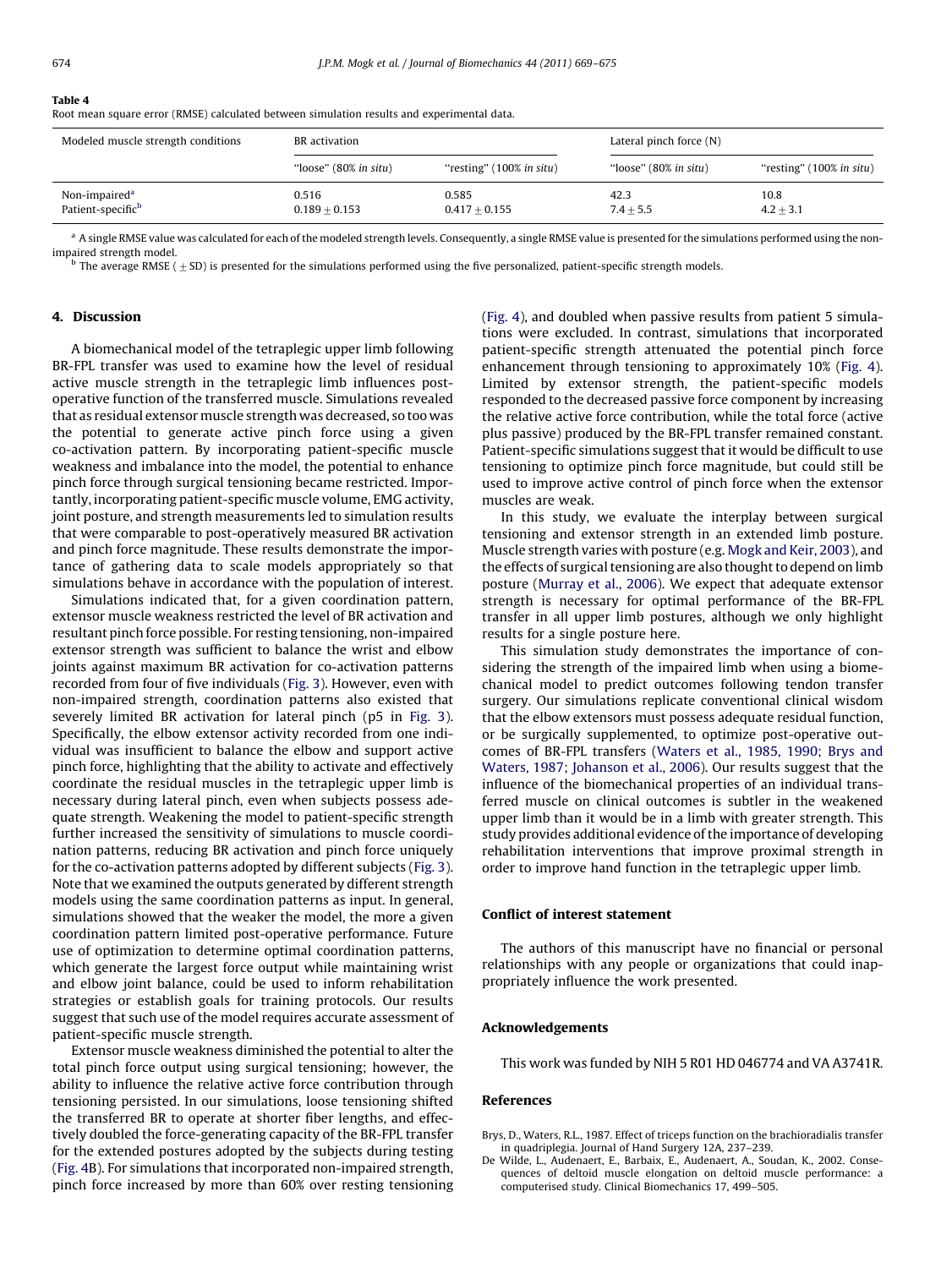#### <span id="page-5-0"></span>Table 4

Root mean square error (RMSE) calculated between simulation results and experimental data.

| Modeled muscle strength conditions                         | BR activation            |                          | Lateral pinch force (N) |                          |  |
|------------------------------------------------------------|--------------------------|--------------------------|-------------------------|--------------------------|--|
|                                                            | "loose" (80% in situ)    | "resting" (100% in situ) | "loose" (80% in situ)   | "resting" (100% in situ) |  |
| Non-impaired <sup>a</sup><br>Patient-specific <sup>b</sup> | 0.516<br>$0.189 + 0.153$ | 0.585<br>$0.417 + 0.155$ | 42.3<br>$7.4 + 5.5$     | 10.8<br>$4.2 \pm 3.1$    |  |

a A single RMSE value was calculated for each of the modeled strength levels. Consequently, a single RMSE value is presented for the simulations performed using the nonimpaired strength model.

 $b$  The average RMSE ( $+$ SD) is presented for the simulations performed using the five personalized, patient-specific strength models.

### 4. Discussion

A biomechanical model of the tetraplegic upper limb following BR-FPL transfer was used to examine how the level of residual active muscle strength in the tetraplegic limb influences postoperative function of the transferred muscle. Simulations revealed that as residual extensor muscle strength was decreased, so too was the potential to generate active pinch force using a given co-activation pattern. By incorporating patient-specific muscle weakness and imbalance into the model, the potential to enhance pinch force through surgical tensioning became restricted. Importantly, incorporating patient-specific muscle volume, EMG activity, joint posture, and strength measurements led to simulation results that were comparable to post-operatively measured BR activation and pinch force magnitude. These results demonstrate the importance of gathering data to scale models appropriately so that simulations behave in accordance with the population of interest.

Simulations indicated that, for a given coordination pattern, extensor muscle weakness restricted the level of BR activation and resultant pinch force possible. For resting tensioning, non-impaired extensor strength was sufficient to balance the wrist and elbow joints against maximum BR activation for co-activation patterns recorded from four of five individuals [\(Fig. 3](#page-4-0)). However, even with non-impaired strength, coordination patterns also existed that severely limited BR activation for lateral pinch (p5 in [Fig. 3\)](#page-4-0). Specifically, the elbow extensor activity recorded from one individual was insufficient to balance the elbow and support active pinch force, highlighting that the ability to activate and effectively coordinate the residual muscles in the tetraplegic upper limb is necessary during lateral pinch, even when subjects possess adequate strength. Weakening the model to patient-specific strength further increased the sensitivity of simulations to muscle coordination patterns, reducing BR activation and pinch force uniquely for the co-activation patterns adopted by different subjects [\(Fig. 3\)](#page-4-0). Note that we examined the outputs generated by different strength models using the same coordination patterns as input. In general, simulations showed that the weaker the model, the more a given coordination pattern limited post-operative performance. Future use of optimization to determine optimal coordination patterns, which generate the largest force output while maintaining wrist and elbow joint balance, could be used to inform rehabilitation strategies or establish goals for training protocols. Our results suggest that such use of the model requires accurate assessment of patient-specific muscle strength.

Extensor muscle weakness diminished the potential to alter the total pinch force output using surgical tensioning; however, the ability to influence the relative active force contribution through tensioning persisted. In our simulations, loose tensioning shifted the transferred BR to operate at shorter fiber lengths, and effectively doubled the force-generating capacity of the BR-FPL transfer for the extended postures adopted by the subjects during testing ([Fig. 4B](#page-4-0)). For simulations that incorporated non-impaired strength, pinch force increased by more than 60% over resting tensioning ([Fig. 4](#page-4-0)), and doubled when passive results from patient 5 simulations were excluded. In contrast, simulations that incorporated patient-specific strength attenuated the potential pinch force enhancement through tensioning to approximately 10% [\(Fig. 4\)](#page-4-0). Limited by extensor strength, the patient-specific models responded to the decreased passive force component by increasing the relative active force contribution, while the total force (active plus passive) produced by the BR-FPL transfer remained constant. Patient-specific simulations suggest that it would be difficult to use tensioning to optimize pinch force magnitude, but could still be used to improve active control of pinch force when the extensor muscles are weak.

In this study, we evaluate the interplay between surgical tensioning and extensor strength in an extended limb posture. Muscle strength varies with posture (e.g. [Mogk and Keir, 2003](#page-6-0)), and the effects of surgical tensioning are also thought to depend on limb posture ([Murray et al., 2006](#page-6-0)). We expect that adequate extensor strength is necessary for optimal performance of the BR-FPL transfer in all upper limb postures, although we only highlight results for a single posture here.

This simulation study demonstrates the importance of considering the strength of the impaired limb when using a biomechanical model to predict outcomes following tendon transfer surgery. Our simulations replicate conventional clinical wisdom that the elbow extensors must possess adequate residual function, or be surgically supplemented, to optimize post-operative outcomes of BR-FPL transfers [\(Waters et al., 1985, 1990; Brys and](#page-6-0) [Waters, 1987; Johanson et al., 2006](#page-6-0)). Our results suggest that the influence of the biomechanical properties of an individual transferred muscle on clinical outcomes is subtler in the weakened upper limb than it would be in a limb with greater strength. This study provides additional evidence of the importance of developing rehabilitation interventions that improve proximal strength in order to improve hand function in the tetraplegic upper limb.

## Conflict of interest statement

The authors of this manuscript have no financial or personal relationships with any people or organizations that could inappropriately influence the work presented.

#### Acknowledgements

This work was funded by NIH 5 R01 HD 046774 and VA A3741R.

## References

Brys, D., Waters, R.L., 1987. Effect of triceps function on the brachioradialis transfer in quadriplegia. Journal of Hand Surgery 12A, 237–239.

De Wilde, L., Audenaert, E., Barbaix, E., Audenaert, A., Soudan, K., 2002. Consequences of deltoid muscle elongation on deltoid muscle performance: a computerised study. Clinical Biomechanics 17, 499–505.